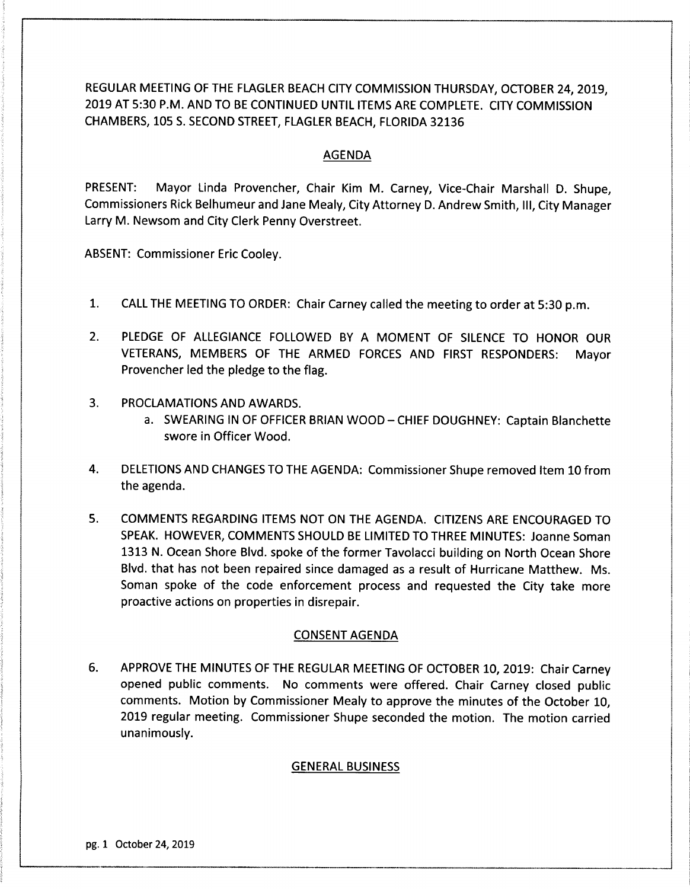REGULAR MEETING OF THE FLAGLER BEACH CITY COMMISSION THURSDAY, OCTOBER 24, 2019, 2019 AT 5:30 P.M. AND TO BE CONTINUED UNTIL ITEMS ARE COMPLETE. CITY COMMISSION CHAMBERS, 105 S. SECOND STREET, FLAGLER BEACH, FLORIDA 32136

## AGENDA

PRESENT: Mayor Linda Provencher, Chair Kim M. Carney, Vice-Chair Marshall D. Shupe, Commissioners Rick Belhumeur and Jane Mealy, City Attorney D. Andrew Smith, III, City Manager Larry M. Newsom and City Clerk Penny Overstreet.

ABSENT: Commissioner Eric Cooley.

- 1. CALL THE MEETING TO ORDER: Chair Carney called the meeting to order at 5: 30 p. m.
- 2. PLEDGE OF ALLEGIANCE FOLLOWED BY A MOMENT OF SILENCE TO HONOR OUR VETERANS, MEMBERS OF THE ARMED FORCES AND FIRST RESPONDERS: Mayor Provencher led the pledge to the flag.
- 3. PROCLAMATIONS AND AWARDS.
	- a. SWEARING IN OF OFFICER BRIAN WOOD CHIEF DOUGHNEY: Captain Blanchette swore in Officer Wood.
- 4. DELETIONS AND CHANGES TO THE AGENDA: Commissioner Shupe removed Item 10 from the agenda.
- 5. COMMENTS REGARDING ITEMS NOT ON THE AGENDA. CITIZENS ARE ENCOURAGED TO SPEAK. HOWEVER, COMMENTS SHOULD BE LIMITED TO THREE MINUTES: Joanne Soman 1313 N. Ocean Shore Blvd. spoke of the former Tavolacci building on North Ocean Shore Blvd. that has not been repaired since damaged as <sup>a</sup> result of Hurricane Matthew. Ms. Soman spoke of the code enforcement process and requested the City take more proactive actions on properties in disrepair.

## CONSENT AGENDA

6. APPROVE THE MINUTES OF THE REGULAR MEETING OF OCTOBER 10, 2019: Chair Carney opened public comments. No comments were offered. Chair Carney closed public comments. Motion by Commissioner Mealy to approve the minutes of the October 10, 2019 regular meeting. Commissioner Shupe seconded the motion. The motion carried unanimously.

# GENERAL BUSINESS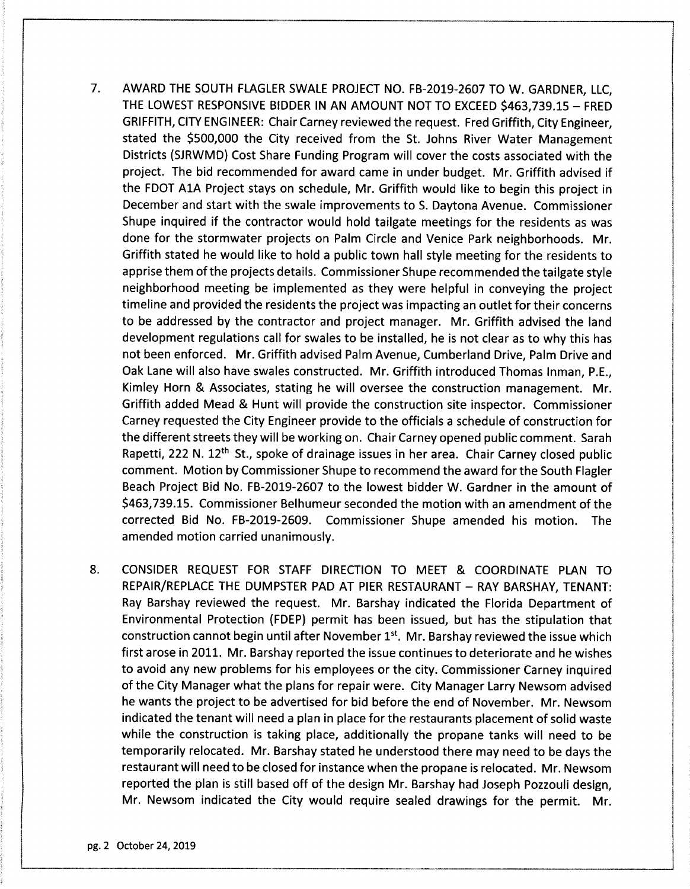- 7. AWARD THE SOUTH FLAGLER SWALE PROJECT NO. FB-2019-2607 TO W. GARDNER, LLC, THE LOWEST RESPONSIVE BIDDER IN AN AMOUNT NOT TO EXCEED \$463,739.15 - FRED GRIFFITH, CITY ENGINEER: Chair Carney reviewed the request. Fred Griffith, City Engineer, stated the \$500,000 the City received from the St. Johns River Water Management Districts ( SJRWMD) Cost Share Funding Program will cover the costs associated with the project. The bid recommended for award came in under budget. Mr. Griffith advised if the FDOT A1A Project stays on schedule, Mr. Griffith would like to begin this project in December and start with the swale improvements to S. Daytona Avenue. Commissioner Shupe inquired if the contractor would hold tailgate meetings for the residents as was done for the stormwater projects on Palm Circle and Venice Park neighborhoods. Mr. Griffith stated he would like to hold <sup>a</sup> public town hall style meeting for the residents to apprise them of the projects details. Commissioner Shupe recommended the tailgate style neighborhood meeting be implemented as they were helpful in conveying the project timeline and provided the residents the project was impacting an outlet for their concerns to be addressed by the contractor and project manager. Mr. Griffith advised the land development regulations call for swales to be installed, he is not clear as to why this has not been enforced. Mr. Griffith advised Palm Avenue, Cumberland Drive, Palm Drive and Oak Lane will also have swales constructed. Mr. Griffith introduced Thomas Inman, P.E., Kimley Horn & Associates, stating he will oversee the construction management. Mr. Griffith added Mead & Hunt will provide the construction site inspector. Commissioner Carney requested the City Engineer provide to the officials <sup>a</sup> schedule of construction for the different streets they will be working on. Chair Carney opened public comment. Sarah Rapetti, 222 N.  $12<sup>th</sup>$  St., spoke of drainage issues in her area. Chair Carney closed public comment. Motion by Commissioner Shupe to recommend the award for the South Flagler Beach Project Bid No. FB-2019-2607 to the lowest bidder W. Gardner in the amount of \$463, 739. 15. Commissioner Belhumeur seconded the motion with an amendment of the corrected Bid No. FB-2019-2609. Commissioner Shupe amended his motion. The amended motion carried unanimously.
- 8. CONSIDER REQUEST FOR STAFF DIRECTION TO MEET & COORDINATE PLAN TO REPAIR/ REPLACE THE DUMPSTER PAD AT PIER RESTAURANT — RAY BARSHAY, TENANT: Ray Barshay reviewed the request. Mr. Barshay indicated the Florida Department of Environmental Protection ( FDEP) permit has been issued, but has the stipulation that construction cannot begin until after November 1<sup>st</sup>. Mr. Barshay reviewed the issue which first arose in 2011. Mr. Barshay reported the issue continues to deteriorate and he wishes to avoid any new problems for his employees or the city. Commissioner Carney inquired of the City Manager what the plans for repair were. City Manager Larry Newsom advised he wants the project to be advertised for bid before the end of November. Mr. Newsom indicated the tenant will need <sup>a</sup> plan in place for the restaurants placement of solid waste while the construction is taking place, additionally the propane tanks will need to be temporarily relocated. Mr. Barshay stated he understood there may need to be days the restaurant will need to be closed for instance when the propane is relocated. Mr. Newsom reported the plan is still based off of the design Mr. Barshay had Joseph Pozzouli design, Mr. Newsom indicated the City would require sealed drawings for the permit. Mr.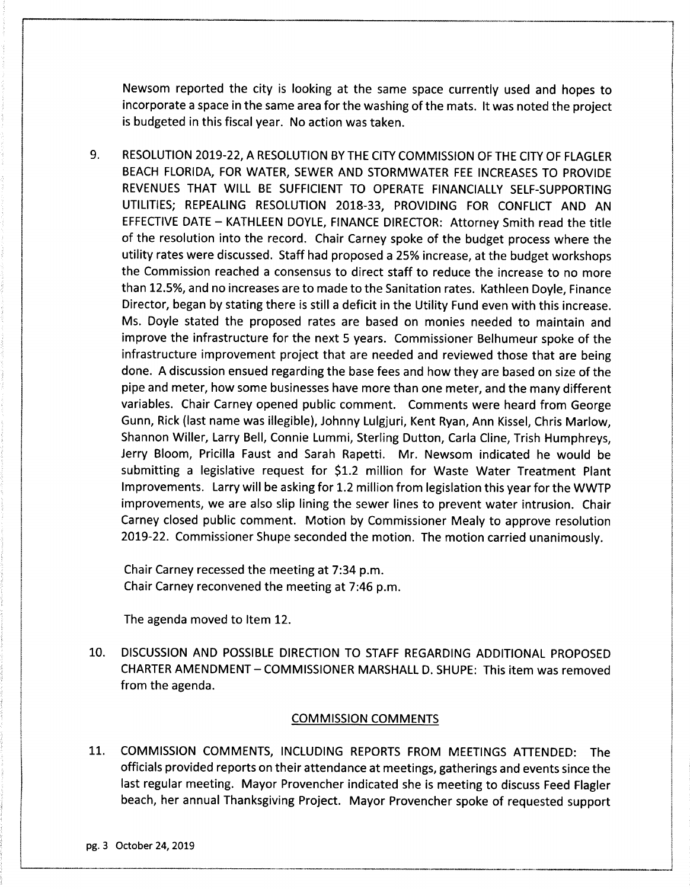Newsom reported the city is looking at the same space currently used and hopes to incorporate <sup>a</sup> space in the same area for the washing of the mats. It was noted the project is budgeted in this fiscal year. No action was taken.

9. RESOLUTION 2019-22, A RESOLUTION BY THE CITY COMMISSION OF THE CITY OF FLAGLER BEACH FLORIDA, FOR WATER, SEWER AND STORMWATER FEE INCREASES TO PROVIDE REVENUES THAT WILL BE SUFFICIENT TO OPERATE FINANCIALLY SELF-SUPPORTING UTILITIES; REPEALING RESOLUTION 2018-33, PROVIDING FOR CONFLICT AND AN EFFECTIVE DATE — KATHLEEN DOYLE, FINANCE DIRECTOR: Attorney Smith read the title of the resolution into the record. Chair Carney spoke of the budget process where the utility rates were discussed. Staff had proposed <sup>a</sup> 25% increase, at the budget workshops the Commission reached <sup>a</sup> consensus to direct staff to reduce the increase to no more than 12. 5%, and no increases are to made to the Sanitation rates. Kathleen Doyle, Finance Director, began by stating there is still <sup>a</sup> deficit in the Utility Fund even with this increase. Ms. Doyle stated the proposed rates are based on monies needed to maintain and improve the infrastructure for the next <sup>5</sup> years. Commissioner Belhumeur spoke of the infrastructure improvement project that are needed and reviewed those that are being done. A discussion ensued regarding the base fees and how they are based on size of the pipe and meter, how some businesses have more than one meter, and the many different variables. Chair Carney opened public comment. Comments were heard from George Gunn, Rick ( last name was illegible), Johnny Lulgjuri, Kent Ryan, Ann Kissel, Chris Marlow, Shannon Willer, Larry Bell, Connie Lummi, Sterling Dutton, Carla Cline, Trish Humphreys, Jerry Bloom, Pricilla Faust and Sarah Rapetti. Mr. Newsom indicated he would be submitting a legislative request for \$1.2 million for Waste Water Treatment Plant Improvements. Larry will be asking for 1.2 million from legislation this year for the WWTP improvements, we are also slip lining the sewer lines to prevent water intrusion. Chair Carney closed public comment. Motion by Commissioner Mealy to approve resolution 2019-22. Commissioner Shupe seconded the motion. The motion carried unanimously.

Chair Carney recessed the meeting at 7: 34 p. m. Chair Carney reconvened the meeting at 7: 46 p. m.

The agenda moved to Item 12.

10. DISCUSSION AND POSSIBLE DIRECTION TO STAFF REGARDING ADDITIONAL PROPOSED CHARTER AMENDMENT— COMMISSIONER MARSHALL D. SHUPE: This item was removed from the agenda.

## COMMISSION COMMENTS

11. COMMISSION COMMENTS, INCLUDING REPORTS FROM MEETINGS ATTENDED: The officials provided reports on their attendance at meetings, gatherings and events since the last regular meeting. Mayor Provencher indicated she is meeting to discuss Feed Flagler beach, her annual Thanksgiving Project. Mayor Provencher spoke of requested support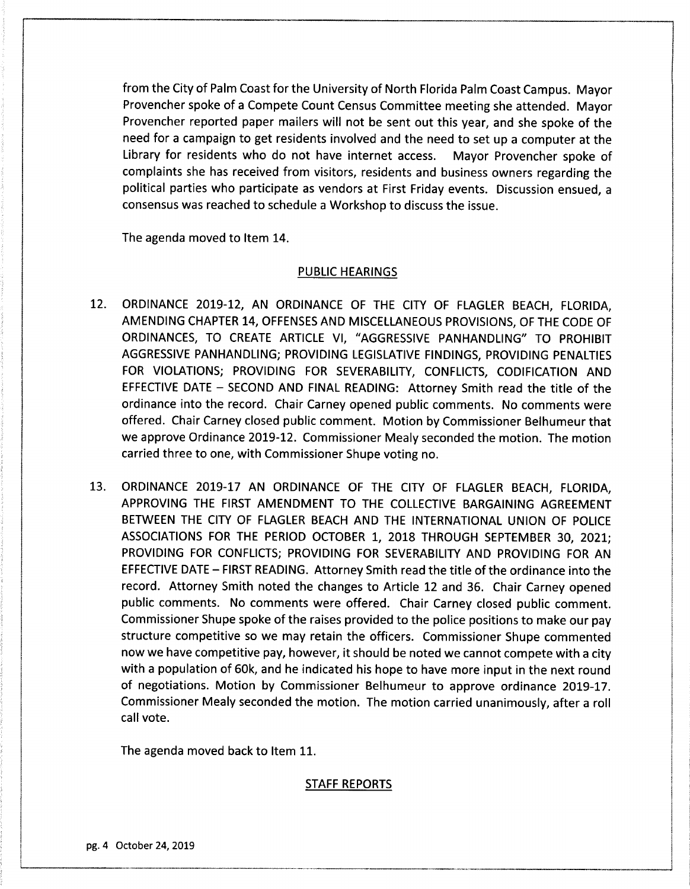from the City of Palm Coast for the University of North Florida Palm Coast Campus. Mayor Provencher spoke of <sup>a</sup> Compete Count Census Committee meeting she attended. Mayor Provencher reported paper mailers will not be sent out this year, and she spoke of the need for <sup>a</sup> campaign to get residents involved and the need to set up <sup>a</sup> computer at the Library for residents who do not have internet access. Mayor Provencher spoke of complaints she has received from visitors, residents and business owners regarding the political parties who participate as vendors at First Friday events. Discussion ensued, a consensus was reached to schedule <sup>a</sup> Workshop to discuss the issue.

The agenda moved to Item 14.

#### PUBLIC HEARINGS

- 12. ORDINANCE 2019-12, AN ORDINANCE OF THE CITY OF FLAGLER BEACH, FLORIDA, AMENDING CHAPTER 14, OFFENSES AND MISCELLANEOUS PROVISIONS, OF THE CODE OF ORDINANCES, TO CREATE ARTICLE VI, " AGGRESSIVE PANHANDLING' TO PROHIBIT AGGRESSIVE PANHANDLING; PROVIDING LEGISLATIVE FINDINGS, PROVIDING PENALTIES FOR VIOLATIONS; PROVIDING FOR SEVERABILITY, CONFLICTS, CODIFICATION AND EFFECTIVE DATE — SECOND AND FINAL READING: Attorney Smith read the title of the ordinance into the record. Chair Carney opened public comments. No comments were offered. Chair Carney closed public comment. Motion by Commissioner Belhumeur that we approve Ordinance 2019-12. Commissioner Mealy seconded the motion. The motion carried three to one, with Commissioner Shupe voting no.
- 13. ORDINANCE 2019-17 AN ORDINANCE OF THE CITY OF FLAGLER BEACH, FLORIDA, APPROVING THE FIRST AMENDMENT TO THE COLLECTIVE BARGAINING AGREEMENT BETWEEN THE CITY OF FLAGLER BEACH AND THE INTERNATIONAL UNION OF POLICE ASSOCIATIONS FOR THE PERIOD OCTOBER 1, 2018 THROUGH SEPTEMBER 30, 2021; PROVIDING FOR CONFLICTS; PROVIDING FOR SEVERABILITY AND PROVIDING FOR AN EFFECTIVE DATE — FIRST READING. Attorney Smith read the title of the ordinance into the record. Attorney Smith noted the changes to Article 12 and 36. Chair Carney opened public comments. No comments were offered. Chair Carney closed public comment. Commissioner Shupe spoke of the raises provided to the police positions to make our pay structure competitive so we may retain the officers. Commissioner Shupe commented now we have competitive pay, however, it should be noted we cannot compete with a city with <sup>a</sup> population of 60k, and he indicated his hope to have more input in the next round of negotiations. Motion by Commissioner Belhumeur to approve ordinance 2019-17. Commissioner Mealy seconded the motion. The motion carried unanimously, after <sup>a</sup> roll call vote.

The agenda moved back to Item 11.

#### STAFF REPORTS